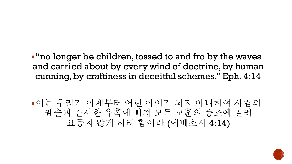▪"no longer be children, tossed to and fro by the waves and carried about by every wind of doctrine, by human cunning, by craftiness in deceitful schemes." Eph. 4:14

▪이는 우리가 이제부터 어린 아이가 되지 아니하여 사람의 궤술과 간사한 유혹에 빠져 모든 교훈의 풍조에 밀려 요동치 않게 하려 함이라 (에베소서 4:14)

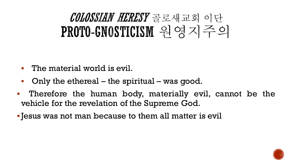### COLOSSIAN HERESY 골로새교회 이단 PROTO-GNOSTICISM 원영지주의

- The material world is evil.
- Only the ethereal the spiritual was good.
- Therefore the human body, materially evil, cannot be the vehicle for the revelation of the Supreme God.
- Jesus was not man because to them all matter is evil

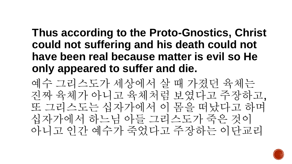#### **Thus according to the Proto-Gnostics, Christ could not suffering and his death could not have been real because matter is evil so He only appeared to suffer and die.**

예수 그리스도가 세상에서 살 때 가졌던 육체는 진짜 육체가 아니고 육체처럼 보였다고 주장하고, 또 그리스도는 십자가에서 이 몸을 떠났다고 하며 십자가에서 하느님 아들 그리스도가 죽은 것이 아니고 인간 예수가 죽었다고 주장하는 이단교리

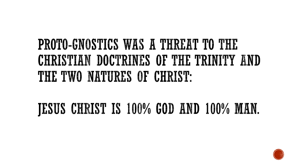## **PROTO-GNOSTICS WAS A THREAT TO THE** CHRISTIAN DOCTRINES OF THE TRINITY AND THE TWO NATURES OF CHRIST:

#### JESUS CHRIST IS 100% GOD AND 100% MAN.

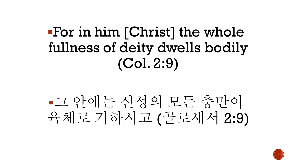### ▪For in him [Christ] the whole fullness of deity dwells bodily (Col. 2:9)

# ▪그 안에는 신성의 모든 충만이 육체로 거하시고 (골로새서 2:9)

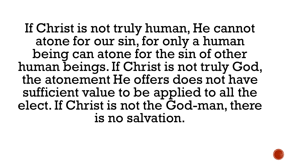If Christ is not truly human, He cannot atone for our sin, for only a human being can atone for the sin of other human beings. If Christ is not truly God, the atonement He offers does not have sufficient value to be applied to all the elect. If Christ is not the God-man, there is no salvation.

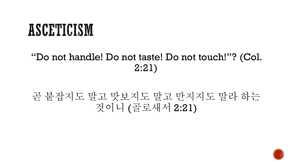## ASCETICISM

#### "Do not handle! Do not taste! Do not touch!"? (Col. 2:21)

#### 곧 붙잡지도 말고 맛보지도 말고 만지지도 말라 하는 것이니 (골로새서 2:21)

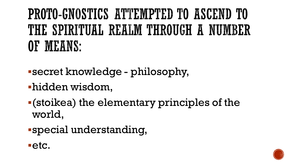## PROTO-GNOSTICS ATTEMPTED TO ASCEND TO THE SPIRITUAL REALM THROUGH A NUMBER OF MEANS:

- ▪secret knowledge philosophy,
- **-hidden wisdom,**
- ▪(stoikea) the elementary principles of the world,
- ▪special understanding,



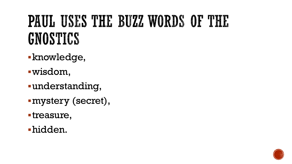# PAUL USES THE BUZZ WORDS OF THE GNOSTICS

- **-knowledge,**
- ▪wisdom,
- ▪understanding,
- ▪mystery (secret),
- ▪treasure,
- ▪hidden.

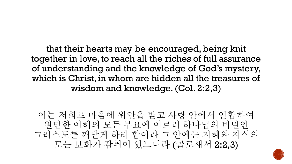that their hearts may be encouraged, being knit together in love, to reach all the riches of full assurance of understanding and the knowledge of God's mystery, which is Christ, in whom are hidden all the treasures of wisdom and knowledge. (Col. 2:2,3)

이는 저희로 마음에 위안을 받고 사랑 안에서 연합하여 원만한 이해의 모든 부요에 이르러 하나님의 비밀인 그리스도를 깨닫게 하려 함이라 그 안에는 지혜와 지식의 모든 보화가 감취어 있느니라 (골로새서 2:2,3)

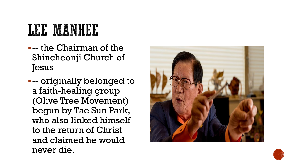# LEE MANHEE

- ▪-- the Chairman of the Shincheonji Church of Jesus
- ▪-- originally belonged to a faith-healing group (Olive Tree Movement) begun by Tae Sun Park, who also linked himself to the return of Christ and claimed he would never die.



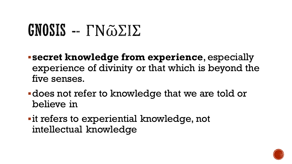# GNOSIS --  $\Gamma N\tilde{\omega}\Sigma \Sigma$

- ▪**secret knowledge from experience**, especially experience of divinity or that which is beyond the five senses.
- ▪does not refer to knowledge that we are told or believe in
- **-it refers to experiential knowledge, not** intellectual knowledge

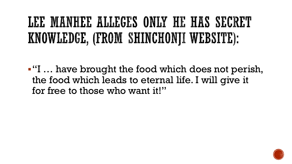## LEE MANHEE ALLEGES ONLY HE HAS SECRET KNOWLEDGE, (FROM SHINGHONJI WEBSITE):

▪"I … have brought the food which does not perish, the food which leads to eternal life. I will give it for free to those who want it!"

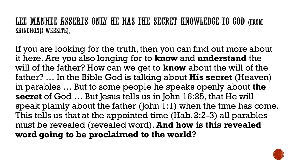LEE MANHEE ASSERTS ONLY HE HAS THE SECRET KNOWLEDGE TO GOD (FROM SHINCHONJI WEBSITE),

If you are looking for the truth, then you can find out more about it here. Are you also longing for to **know** and **understand** the will of the father? How can we get to **know** about the will of the father? … In the Bible God is talking about **His secret** (Heaven) in parables … But to some people he speaks openly about **the secret** of God … But Jesus tells us in John 16:25, that He will speak plainly about the father (John 1:1) when the time has come. This tells us that at the appointed time (Hab. 2:2-3) all parables must be revealed (revealed word). **And how is this revealed word going to be proclaimed to the world?**

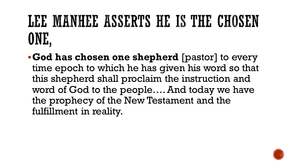# LEE MANHEE ASSERTS HE IS THE CHOSEN ONE.

▪**God has chosen one shepherd** [pastor] to every time epoch to which he has given his word so that this shepherd shall proclaim the instruction and word of God to the people…. And today we have the prophecy of the New Testament and the fulfillment in reality.

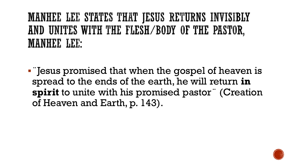#### MANHEE LEE STATES THAT JESUS RETURNS INVISIBLY AND UNITES WITH THE FLESH/BODY OF THE PASTOR, **MANHEE LEE:**

■ Fesus promised that when the gospel of heaven is spread to the ends of the earth, he will return **in spirit** to unite with his promised pastor¨ (Creation of Heaven and Earth, p. 143).

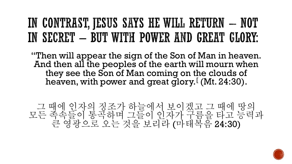### IN CONTRAST, JESUS SAYS HE WILL RETURN - NOT IN SECRET - BUT WITH POWER AND GREAT GLORY.

"Then will appear the sign of the Son of Man in heaven. And then all the peoples of the earth will mourn when they see the Son of Man coming on the clouds of heaven, with power and great glory.<sup>[</sup> (Mt. 24:30).

그 때에 인자의 징조가 하늘에서 보이겠고 그 때에 땅의 모든 족속들이 통곡하며 그들이 인자가 구름을 타고 능력과 큰 영광으로 오는 것을 보리라 (마태복음 24:30)

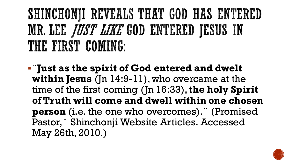## SHINCHONJI REVEALS THAT GOD HAS ENTERED MR. LEE *JUST LIKE* GOD ENTERED JESUS IN THE FIRST COMING:

▪¨**Just as the spirit of God entered and dwelt within Jesus** (Jn 14:9-11), who overcame at the time of the first coming (Jn 16:33),**the holy Spirit of Truth will come and dwell within one chosen person** (i.e. the one who overcomes).¨ (Promised Pastor,¨ Shinchonji Website Articles. Accessed May 26th, 2010.)

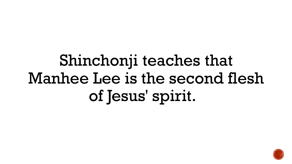# Shinchonji teaches that Manhee Lee is the second flesh of Jesus' spirit.

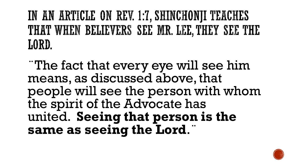### IN AN ARTICLE ON REV. 1:7, SHINCHONJI TEACHES THAT WHEN BELIEVERS SEE MR. LEE, THEY SEE THE LORD.

¨The fact that every eye will see him means, as discussed above, that people will see the person with whom the spirit of the Advocate has united. **Seeing that person is the same as seeing the Lord**.¨

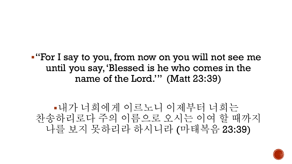

# ▪내가 너희에게 이르노니 이제부터 너희는 나를 보지 못하리라 하시니라 (마태복음 23:39)

▪"For I say to you, from now on you will not see me

until you say, 'Blessed is he who comes in the

name of the Lord.'" (Matt 23:39)

찬송하리로다 주의 이름으로 오시는 이여 할 때까지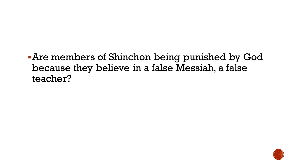▪Are members of Shinchon being punished by God because they believe in a false Messiah, a false teacher?

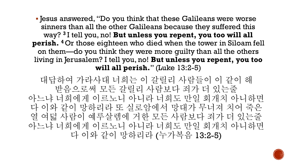▪ Jesus answered, "Do you think that these Galileans were worse sinners than all the other Galileans because they suffered this way? **<sup>3</sup>** I tell you, no! **But unless you repent, you too will all perish. <sup>4</sup>** Or those eighteen who died when the tower in Siloam fell on them—do you think they were more guilty than all the others living in Jerusalem? I tell you, no! **But unless you repent, you too will all perish.**" (Luke 13:2-5)

대답하여 가라사대 너희는 이 갈릴리 사람들이 이 같이 해 받음으로써 모든 갈릴리 사람보다 죄가 더 있는줄 아느냐 너희에게 이르노니 아니라 너희도 만일 회개치 아니하면 다 이와 같이 망하리라 또 실로암에서 망대가 무너져 치어 죽은 열 여덟 사람이 예루살렘에 거한 모든 사람보다 죄가 더 있는줄 아느냐 너희에게 이르노니 아니라 너희도 만일 회개치 아니하면 다 이와 같이 망하리라 (누가복음 13:2-5)